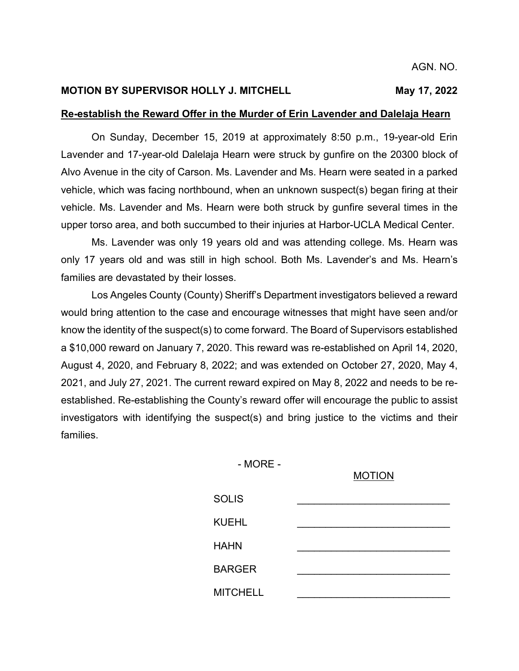## **MOTION BY SUPERVISOR HOLLY J. MITCHELL MAY 17, 2022**

### **Re-establish the Reward Offer in the Murder of Erin Lavender and Dalelaja Hearn**

On Sunday, December 15, 2019 at approximately 8:50 p.m., 19-year-old Erin Lavender and 17-year-old Dalelaja Hearn were struck by gunfire on the 20300 block of Alvo Avenue in the city of Carson. Ms. Lavender and Ms. Hearn were seated in a parked vehicle, which was facing northbound, when an unknown suspect(s) began firing at their vehicle. Ms. Lavender and Ms. Hearn were both struck by gunfire several times in the upper torso area, and both succumbed to their injuries at Harbor-UCLA Medical Center.

Ms. Lavender was only 19 years old and was attending college. Ms. Hearn was only 17 years old and was still in high school. Both Ms. Lavender's and Ms. Hearn's families are devastated by their losses.

Los Angeles County (County) Sheriff's Department investigators believed a reward would bring attention to the case and encourage witnesses that might have seen and/or know the identity of the suspect(s) to come forward. The Board of Supervisors established a \$10,000 reward on January 7, 2020. This reward was re-established on April 14, 2020, August 4, 2020, and February 8, 2022; and was extended on October 27, 2020, May 4, 2021, and July 27, 2021. The current reward expired on May 8, 2022 and needs to be reestablished. Re-establishing the County's reward offer will encourage the public to assist investigators with identifying the suspect(s) and bring justice to the victims and their families.

- MORE -

#### MOTION

| <b>SOLIS</b>    |  |
|-----------------|--|
| <b>KUEHL</b>    |  |
| <b>HAHN</b>     |  |
| <b>BARGER</b>   |  |
| <b>MITCHELL</b> |  |